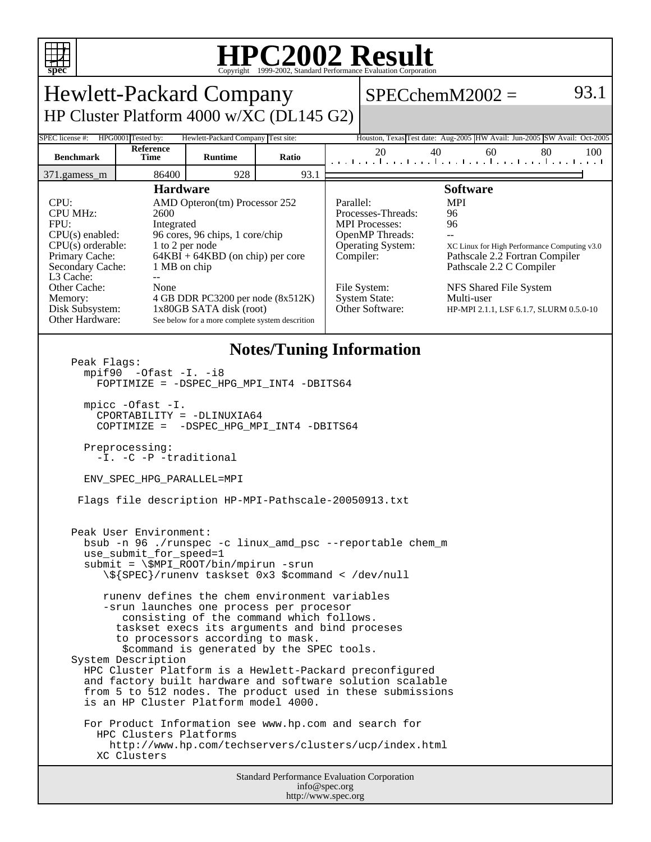

## **HPC2002 Result**

| <b>Hewlett-Packard Company</b><br>$SPECchemM2002 =$<br>HP Cluster Platform 4000 w/XC (DL145 G2)<br>HPG0001 Tested by:<br>Hewlett-Packard Company Test site:<br>SPEC license #:<br>Houston, Texas Test date: Aug-2005 HW Avail: Jun-2005 SW Avail: Oct-2005<br>Reference<br>20<br>40<br>60<br>80<br>100<br><b>Benchmark</b><br><b>Time</b><br><b>Runtime</b><br>Ratio<br>المتمار وبالمتحر المتحر المتحر المتحر المتحر المتحر<br>86400<br>928<br>93.1<br>371.gamess_m<br><b>Software</b><br><b>Hardware</b><br>CPU:<br>AMD Opteron(tm) Processor 252<br>Parallel:<br><b>MPI</b><br><b>CPU MHz:</b><br>2600<br>Processes-Threads:<br>96<br>96<br>FPU:<br><b>MPI</b> Processes:<br>Integrated<br>$CPU(s)$ enabled:<br>96 cores, 96 chips, 1 core/chip<br>OpenMP Threads:<br>$\overline{a}$<br>$CPU(s)$ orderable:<br>1 to 2 per node<br><b>Operating System:</b><br>XC Linux for High Performance Computing v3.0<br>$64KBI + 64KBD$ (on chip) per core<br>Primary Cache:<br>Pathscale 2.2 Fortran Compiler<br>Compiler:<br>Pathscale 2.2 C Compiler<br>Secondary Cache:<br>1 MB on chip<br>L3 Cache:<br>$-$<br>Other Cache:<br>None<br>File System:<br>NFS Shared File System<br><b>System State:</b><br>Multi-user<br>4 GB DDR PC3200 per node (8x512K)<br>Memory:<br>Other Software:<br>Disk Subsystem:<br>1x80GB SATA disk (root)<br>HP-MPI 2.1.1, LSF 6.1.7, SLURM 0.5.0-10<br>Other Hardware:<br>See below for a more complete system descrition<br><b>Notes/Tuning Information</b><br>Peak Flags:<br>$mpif90 -0fast -I. -i8$<br>FOPTIMIZE = - DSPEC_HPG_MPI_INT4 -DBITS64<br>$mpirc$ -Ofast $-I$ .<br>CPORTABILITY = -DLINUXIA64<br>COPTIMIZE = - DSPEC_HPG_MPI_INT4 -DBITS64<br>Preprocessing:<br>-I. -C -P -traditional<br>ENV_SPEC_HPG_PARALLEL=MPI<br>Flags file description HP-MPI-Pathscale-20050913.txt<br>Peak User Environment:<br>bsub -n 96 ./runspec -c linux_amd_psc --reportable chem_m<br>use_submit_for_speed=1<br>submit = \\$MPI_ROOT/bin/mpirun -srun<br>\\${SPEC}/runenv taskset 0x3 \$command < /dev/null<br>runeny defines the chem environment variables<br>-srun launches one process per procesor<br>consisting of the command which follows.<br>taskset execs its arguments and bind proceses<br>to processors according to mask.<br>\$command is generated by the SPEC tools.<br>System Description<br>HPC Cluster Platform is a Hewlett-Packard preconfigured<br>and factory built hardware and software solution scalable<br>from 5 to 512 nodes. The product used in these submissions<br>is an HP Cluster Platform model 4000.<br>For Product Information see www.hp.com and search for<br>HPC Clusters Platforms<br>http://www.hp.com/techservers/clusters/ucp/index.html<br>XC Clusters<br><b>Standard Performance Evaluation Corporation</b><br>info@spec.org | copyright @1777 2002, Buanda Performance Evandation corporation |  |  |  |  |  |  |      |  |
|---------------------------------------------------------------------------------------------------------------------------------------------------------------------------------------------------------------------------------------------------------------------------------------------------------------------------------------------------------------------------------------------------------------------------------------------------------------------------------------------------------------------------------------------------------------------------------------------------------------------------------------------------------------------------------------------------------------------------------------------------------------------------------------------------------------------------------------------------------------------------------------------------------------------------------------------------------------------------------------------------------------------------------------------------------------------------------------------------------------------------------------------------------------------------------------------------------------------------------------------------------------------------------------------------------------------------------------------------------------------------------------------------------------------------------------------------------------------------------------------------------------------------------------------------------------------------------------------------------------------------------------------------------------------------------------------------------------------------------------------------------------------------------------------------------------------------------------------------------------------------------------------------------------------------------------------------------------------------------------------------------------------------------------------------------------------------------------------------------------------------------------------------------------------------------------------------------------------------------------------------------------------------------------------------------------------------------------------------------------------------------------------------------------------------------------------------------------------------------------------------------------------------------------------------------------------------------------------------------------------------------------------------------------------------------------------------------------------------------------------------------------------------------------------------|-----------------------------------------------------------------|--|--|--|--|--|--|------|--|
|                                                                                                                                                                                                                                                                                                                                                                                                                                                                                                                                                                                                                                                                                                                                                                                                                                                                                                                                                                                                                                                                                                                                                                                                                                                                                                                                                                                                                                                                                                                                                                                                                                                                                                                                                                                                                                                                                                                                                                                                                                                                                                                                                                                                                                                                                                                                                                                                                                                                                                                                                                                                                                                                                                                                                                                                   |                                                                 |  |  |  |  |  |  | 93.1 |  |
|                                                                                                                                                                                                                                                                                                                                                                                                                                                                                                                                                                                                                                                                                                                                                                                                                                                                                                                                                                                                                                                                                                                                                                                                                                                                                                                                                                                                                                                                                                                                                                                                                                                                                                                                                                                                                                                                                                                                                                                                                                                                                                                                                                                                                                                                                                                                                                                                                                                                                                                                                                                                                                                                                                                                                                                                   |                                                                 |  |  |  |  |  |  |      |  |
|                                                                                                                                                                                                                                                                                                                                                                                                                                                                                                                                                                                                                                                                                                                                                                                                                                                                                                                                                                                                                                                                                                                                                                                                                                                                                                                                                                                                                                                                                                                                                                                                                                                                                                                                                                                                                                                                                                                                                                                                                                                                                                                                                                                                                                                                                                                                                                                                                                                                                                                                                                                                                                                                                                                                                                                                   |                                                                 |  |  |  |  |  |  |      |  |
|                                                                                                                                                                                                                                                                                                                                                                                                                                                                                                                                                                                                                                                                                                                                                                                                                                                                                                                                                                                                                                                                                                                                                                                                                                                                                                                                                                                                                                                                                                                                                                                                                                                                                                                                                                                                                                                                                                                                                                                                                                                                                                                                                                                                                                                                                                                                                                                                                                                                                                                                                                                                                                                                                                                                                                                                   |                                                                 |  |  |  |  |  |  |      |  |
|                                                                                                                                                                                                                                                                                                                                                                                                                                                                                                                                                                                                                                                                                                                                                                                                                                                                                                                                                                                                                                                                                                                                                                                                                                                                                                                                                                                                                                                                                                                                                                                                                                                                                                                                                                                                                                                                                                                                                                                                                                                                                                                                                                                                                                                                                                                                                                                                                                                                                                                                                                                                                                                                                                                                                                                                   |                                                                 |  |  |  |  |  |  |      |  |
|                                                                                                                                                                                                                                                                                                                                                                                                                                                                                                                                                                                                                                                                                                                                                                                                                                                                                                                                                                                                                                                                                                                                                                                                                                                                                                                                                                                                                                                                                                                                                                                                                                                                                                                                                                                                                                                                                                                                                                                                                                                                                                                                                                                                                                                                                                                                                                                                                                                                                                                                                                                                                                                                                                                                                                                                   |                                                                 |  |  |  |  |  |  |      |  |
|                                                                                                                                                                                                                                                                                                                                                                                                                                                                                                                                                                                                                                                                                                                                                                                                                                                                                                                                                                                                                                                                                                                                                                                                                                                                                                                                                                                                                                                                                                                                                                                                                                                                                                                                                                                                                                                                                                                                                                                                                                                                                                                                                                                                                                                                                                                                                                                                                                                                                                                                                                                                                                                                                                                                                                                                   |                                                                 |  |  |  |  |  |  |      |  |
|                                                                                                                                                                                                                                                                                                                                                                                                                                                                                                                                                                                                                                                                                                                                                                                                                                                                                                                                                                                                                                                                                                                                                                                                                                                                                                                                                                                                                                                                                                                                                                                                                                                                                                                                                                                                                                                                                                                                                                                                                                                                                                                                                                                                                                                                                                                                                                                                                                                                                                                                                                                                                                                                                                                                                                                                   |                                                                 |  |  |  |  |  |  |      |  |
|                                                                                                                                                                                                                                                                                                                                                                                                                                                                                                                                                                                                                                                                                                                                                                                                                                                                                                                                                                                                                                                                                                                                                                                                                                                                                                                                                                                                                                                                                                                                                                                                                                                                                                                                                                                                                                                                                                                                                                                                                                                                                                                                                                                                                                                                                                                                                                                                                                                                                                                                                                                                                                                                                                                                                                                                   |                                                                 |  |  |  |  |  |  |      |  |

http://www.spec.org